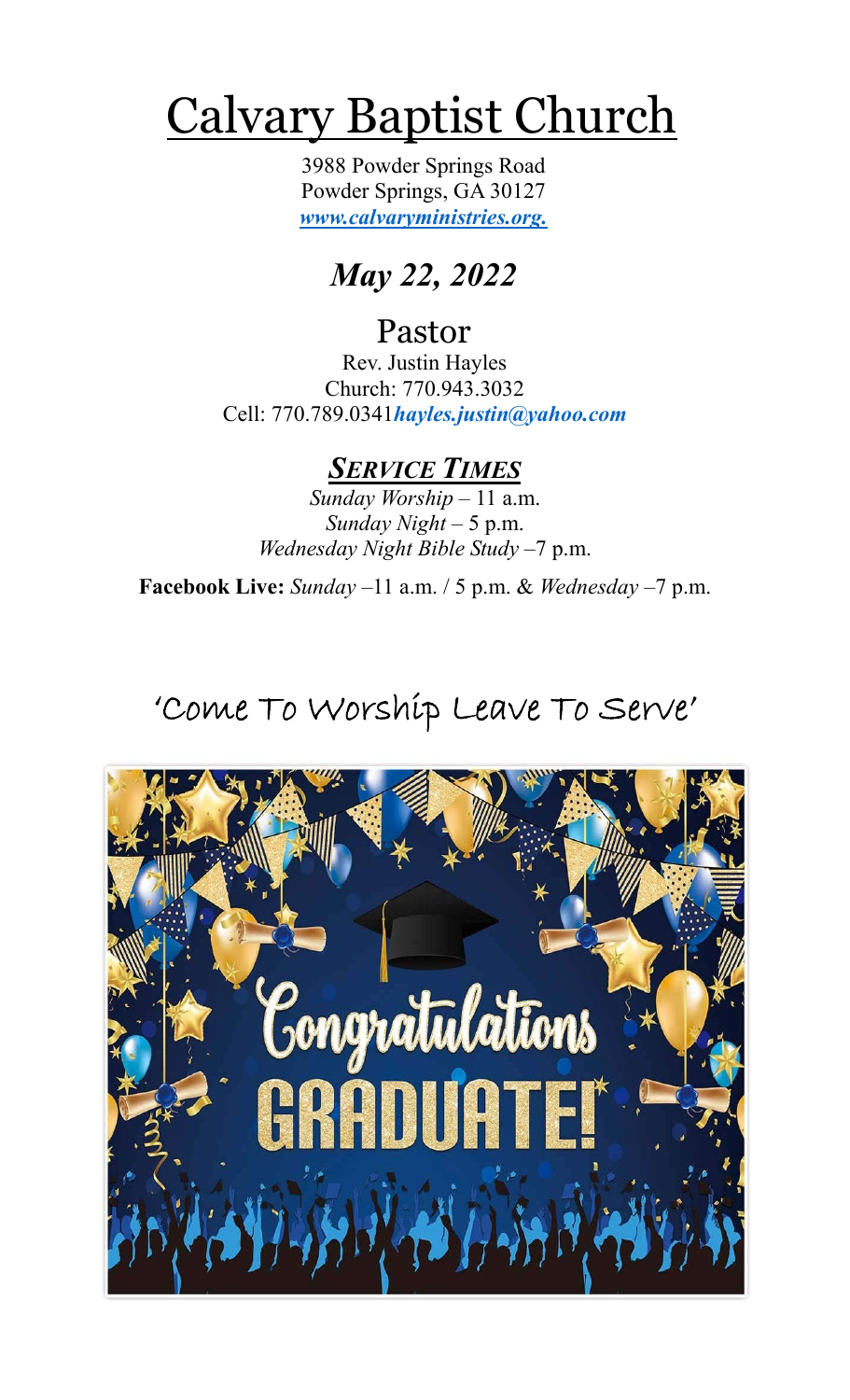# Calvary Baptist Church

3988 Powder Springs Road Powder Springs, GA 30127 *www.calvaryministries.org.*

# *May 22, 2022*

## Pastor

Rev. Justin Hayles Church: 770.943.3032 Cell: 770.789.0341*hayles.justin@yahoo.com*

#### *SERVICE TIMES*

*Sunday Worship* – 11 a.m. *Sunday Night* – 5 p.m. *Wednesday Night Bible Study* –7 p.m.

**Facebook Live:** *Sunday –*11 a.m. / 5 p.m. & *Wednesday* –7 p.m.

# 'Come To Worship Leave To Serve'